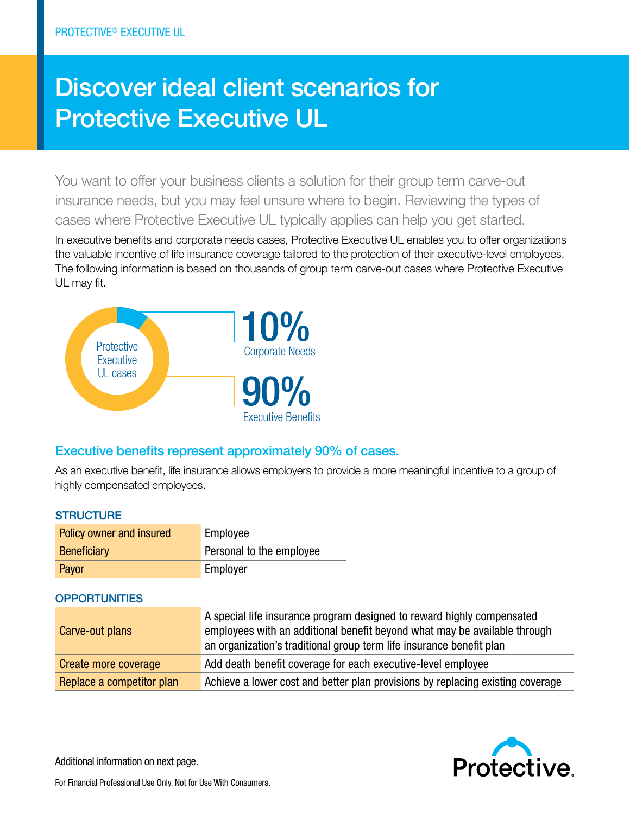# Discover ideal client scenarios for Protective Executive UL

You want to offer your business clients a solution for their group term carve-out insurance needs, but you may feel unsure where to begin. Reviewing the types of cases where Protective Executive UL typically applies can help you get started.

In executive benefits and corporate needs cases, Protective Executive UL enables you to offer organizations the valuable incentive of life insurance coverage tailored to the protection of their executive-level employees. The following information is based on thousands of group term carve-out cases where Protective Executive UL may fit.



## Executive benefits represent approximately 90% of cases.

As an executive benefit, life insurance allows employers to provide a more meaningful incentive to a group of highly compensated employees.

| <b>STRUCTURE</b> |                                 |                          |  |
|------------------|---------------------------------|--------------------------|--|
|                  | <b>Policy owner and insured</b> | Employee                 |  |
|                  | <b>Beneficiary</b>              | Personal to the employee |  |
|                  |                                 |                          |  |

Payor **Employer** 

### **OPPORTUNITIES**

| Carve-out plans           | A special life insurance program designed to reward highly compensated<br>employees with an additional benefit beyond what may be available through<br>an organization's traditional group term life insurance benefit plan |
|---------------------------|-----------------------------------------------------------------------------------------------------------------------------------------------------------------------------------------------------------------------------|
| Create more coverage      | Add death benefit coverage for each executive-level employee                                                                                                                                                                |
| Replace a competitor plan | Achieve a lower cost and better plan provisions by replacing existing coverage                                                                                                                                              |



Additional information on next page.

For Financial Professional Use Only. Not for Use With Consumers.